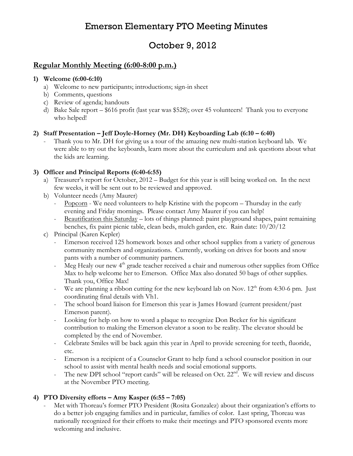# Emerson Elementary PTO Meeting Minutes

# October 9, 2012

## Regular Monthly Meeting (6:00-8:00 p.m.)

#### 1) Welcome (6:00-6:10)

- a) Welcome to new participants; introductions; sign-in sheet
- b) Comments, questions
- c) Review of agenda; handouts
- d) Bake Sale report \$616 profit (last year was \$528); over 45 volunteers! Thank you to everyone who helped!

### 2) Staff Presentation – Jeff Doyle-Horney (Mr. DH) Keyboarding Lab (6:10 – 6:40)

Thank you to Mr. DH for giving us a tour of the amazing new multi-station keyboard lab. We were able to try out the keyboards, learn more about the curriculum and ask questions about what the kids are learning.

### 3) Officer and Principal Reports (6:40-6:55)

- a) Treasurer's report for October, 2012 Budget for this year is still being worked on. In the next few weeks, it will be sent out to be reviewed and approved.
- b) Volunteer needs (Amy Maurer)
	- Popcorn We need volunteers to help Kristine with the popcorn Thursday in the early evening and Friday mornings. Please contact Amy Maurer if you can help!
	- Beautification this Saturday lots of things planned: paint playground shapes, paint remaining benches, fix paint picnic table, clean beds, mulch garden, etc. Rain date: 10/20/12
- c) Principal (Karen Kepler)
	- Emerson received 125 homework boxes and other school supplies from a variety of generous community members and organizations. Currently, working on drives for boots and snow pants with a number of community partners.
	- Meg Healy our new  $4<sup>th</sup>$  grade teacher received a chair and numerous other supplies from Office Max to help welcome her to Emerson. Office Max also donated 50 bags of other supplies. Thank you, Office Max!
	- We are planning a ribbon cutting for the new keyboard lab on Nov. 12<sup>th</sup> from 4:30-6 pm. Just coordinating final details with Vh1.
	- The school board liaison for Emerson this year is James Howard (current president/past Emerson parent).
	- Looking for help on how to word a plaque to recognize Don Becker for his significant contribution to making the Emerson elevator a soon to be reality. The elevator should be completed by the end of November.
	- Celebrate Smiles will be back again this year in April to provide screening for teeth, fluoride, etc.
	- Emerson is a recipient of a Counselor Grant to help fund a school counselor position in our school to assist with mental health needs and social emotional supports.
	- The new DPI school "report cards" will be released on Oct. 22<sup>nd</sup>. We will review and discuss at the November PTO meeting.

### 4) PTO Diversity efforts – Amy Kasper (6:55 – 7:05)

Met with Thoreau's former PTO President (Rosita Gonzalez) about their organization's efforts to do a better job engaging families and in particular, families of color. Last spring, Thoreau was nationally recognized for their efforts to make their meetings and PTO sponsored events more welcoming and inclusive.